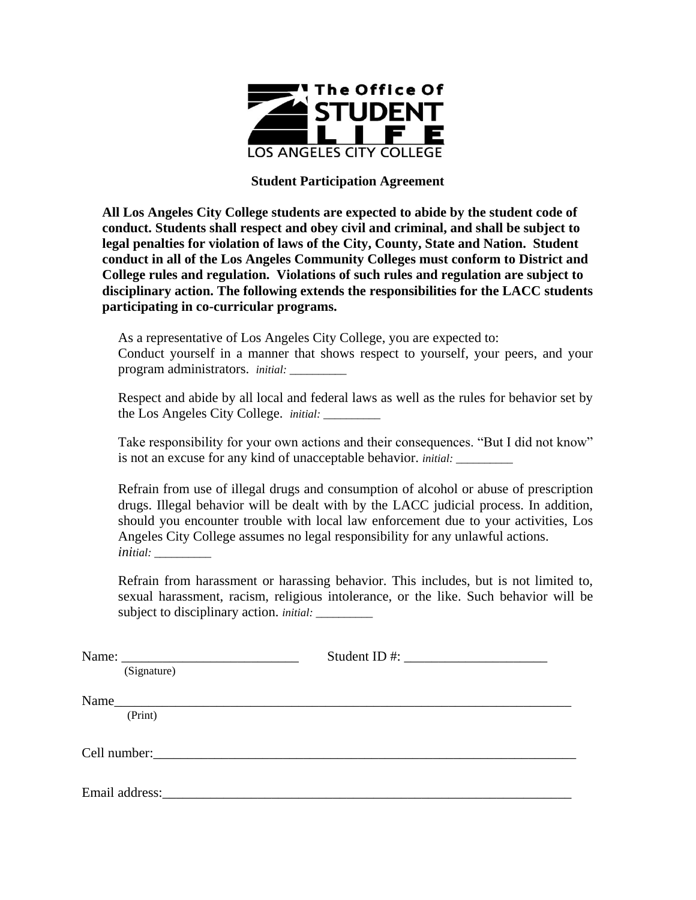

## **Student Participation Agreement**

**All Los Angeles City College students are expected to abide by the student code of conduct. Students shall respect and obey civil and criminal, and shall be subject to legal penalties for violation of laws of the City, County, State and Nation. Student conduct in all of the Los Angeles Community Colleges must conform to District and College rules and regulation. Violations of such rules and regulation are subject to disciplinary action. The following extends the responsibilities for the LACC students participating in co-curricular programs.** 

As a representative of Los Angeles City College, you are expected to: Conduct yourself in a manner that shows respect to yourself, your peers, and your program administrators. *initial: \_\_\_\_\_\_\_\_\_\_* 

Respect and abide by all local and federal laws as well as the rules for behavior set by the Los Angeles City College. *initial: \_\_\_\_\_\_\_\_\_\_* 

Take responsibility for your own actions and their consequences. "But I did not know" is not an excuse for any kind of unacceptable behavior. *initial: \_\_\_\_\_\_\_\_\_\_* 

Refrain from use of illegal drugs and consumption of alcohol or abuse of prescription drugs. Illegal behavior will be dealt with by the LACC judicial process. In addition, should you encounter trouble with local law enforcement due to your activities, Los Angeles City College assumes no legal responsibility for any unlawful actions. *initial: \_\_\_\_\_\_\_\_\_\_* 

Refrain from harassment or harassing behavior. This includes, but is not limited to, sexual harassment, racism, religious intolerance, or the like. Such behavior will be subject to disciplinary action. *initial:* 

|                                                                                                                                                                                                                                | Student ID #: $\frac{1}{2}$ = $\frac{1}{2}$ = $\frac{1}{2}$ = $\frac{1}{2}$ = $\frac{1}{2}$ = $\frac{1}{2}$ = $\frac{1}{2}$ = $\frac{1}{2}$ = $\frac{1}{2}$ = $\frac{1}{2}$ = $\frac{1}{2}$ = $\frac{1}{2}$ = $\frac{1}{2}$ = $\frac{1}{2}$ = $\frac{1}{2}$ = $\frac{1}{2}$ = $\frac{1}{2}$ = $\frac$ |
|--------------------------------------------------------------------------------------------------------------------------------------------------------------------------------------------------------------------------------|-------------------------------------------------------------------------------------------------------------------------------------------------------------------------------------------------------------------------------------------------------------------------------------------------------|
| (Signature)                                                                                                                                                                                                                    |                                                                                                                                                                                                                                                                                                       |
|                                                                                                                                                                                                                                |                                                                                                                                                                                                                                                                                                       |
| (Print)                                                                                                                                                                                                                        |                                                                                                                                                                                                                                                                                                       |
|                                                                                                                                                                                                                                |                                                                                                                                                                                                                                                                                                       |
| Cell number: expansion of the contract of the contract of the contract of the contract of the contract of the contract of the contract of the contract of the contract of the contract of the contract of the contract of the  |                                                                                                                                                                                                                                                                                                       |
|                                                                                                                                                                                                                                |                                                                                                                                                                                                                                                                                                       |
| Email address: The contract of the contract of the contract of the contract of the contract of the contract of the contract of the contract of the contract of the contract of the contract of the contract of the contract of |                                                                                                                                                                                                                                                                                                       |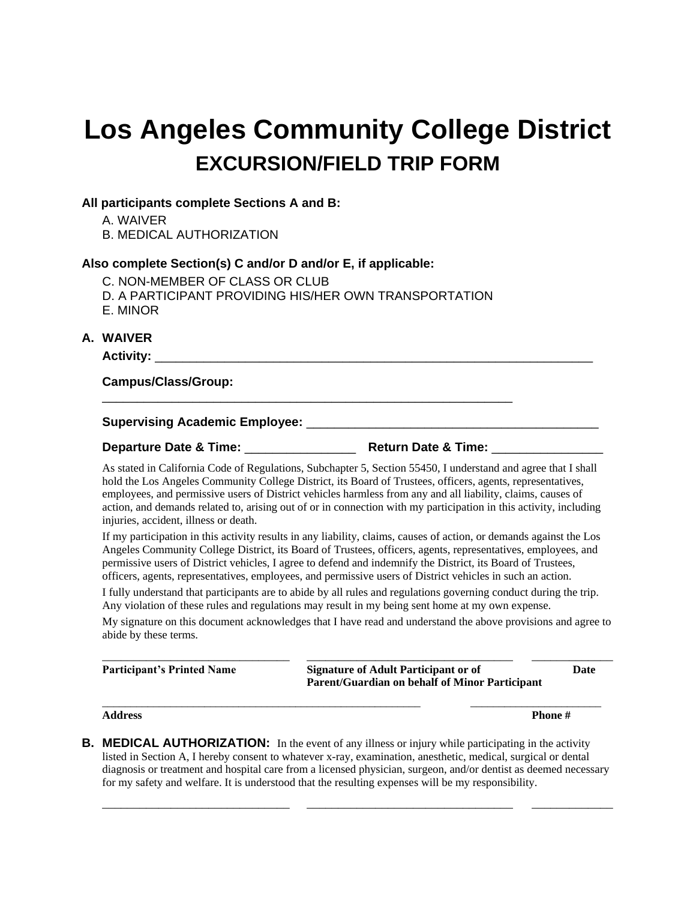# **Los Angeles Community College District EXCURSION/FIELD TRIP FORM**

### **All participants complete Sections A and B:**

A. WAIVER

B. MEDICAL AUTHORIZATION

## **Also complete Section(s) C and/or D and/or E, if applicable:**

- C. NON-MEMBER OF CLASS OR CLUB
- D. A PARTICIPANT PROVIDING HIS/HER OWN TRANSPORTATION

\_\_\_\_\_\_\_\_\_\_\_\_\_\_\_\_\_\_\_\_\_\_\_\_\_\_\_\_\_\_\_\_\_\_\_\_\_\_\_\_\_\_\_\_\_\_\_\_\_\_\_\_\_\_\_\_\_\_\_

E. MINOR

## **A. WAIVER**

**Activity:** \_\_\_\_\_\_\_\_\_\_\_\_\_\_\_\_\_\_\_\_\_\_\_\_\_\_\_\_\_\_\_\_\_\_\_\_\_\_\_\_\_\_\_\_\_\_\_\_\_\_\_\_\_\_\_\_\_\_\_\_\_\_\_

#### **Campus/Class/Group:**

#### **Supervising Academic Employee:** \_\_\_\_\_\_\_\_\_\_\_\_\_\_\_\_\_\_\_\_\_\_\_\_\_\_\_\_\_\_\_\_\_\_\_\_\_\_\_\_\_\_

**Departure Date & Time:**  $\blacksquare$ 

As stated in California Code of Regulations, Subchapter 5, Section 55450, I understand and agree that I shall hold the Los Angeles Community College District, its Board of Trustees, officers, agents, representatives, employees, and permissive users of District vehicles harmless from any and all liability, claims, causes of action, and demands related to, arising out of or in connection with my participation in this activity, including injuries, accident, illness or death.

If my participation in this activity results in any liability, claims, causes of action, or demands against the Los Angeles Community College District, its Board of Trustees, officers, agents, representatives, employees, and permissive users of District vehicles, I agree to defend and indemnify the District, its Board of Trustees, officers, agents, representatives, employees, and permissive users of District vehicles in such an action.

I fully understand that participants are to abide by all rules and regulations governing conduct during the trip. Any violation of these rules and regulations may result in my being sent home at my own expense.

My signature on this document acknowledges that I have read and understand the above provisions and agree to abide by these terms.

\_\_\_\_\_\_\_\_\_\_\_\_\_\_\_\_\_\_\_\_\_\_\_\_\_\_\_\_\_\_ \_\_\_\_\_\_\_\_\_\_\_\_\_\_\_\_\_\_\_\_\_\_\_\_\_\_\_\_\_\_\_\_\_ \_\_\_\_\_\_\_\_\_\_\_\_\_ **Participant's Printed Name Signature of Adult Participant or of Date Parent/Guardian on behalf of Minor Participant**

**Address Phone #**

**B. MEDICAL AUTHORIZATION:** In the event of any illness or injury while participating in the activity listed in Section A, I hereby consent to whatever x-ray, examination, anesthetic, medical, surgical or dental diagnosis or treatment and hospital care from a licensed physician, surgeon, and/or dentist as deemed necessary for my safety and welfare. It is understood that the resulting expenses will be my responsibility.

\_\_\_\_\_\_\_\_\_\_\_\_\_\_\_\_\_\_\_\_\_\_\_\_\_\_\_\_\_\_ \_\_\_\_\_\_\_\_\_\_\_\_\_\_\_\_\_\_\_\_\_\_\_\_\_\_\_\_\_\_\_\_\_ \_\_\_\_\_\_\_\_\_\_\_\_\_

\_\_\_\_\_\_\_\_\_\_\_\_\_\_\_\_\_\_\_\_\_\_\_\_\_\_\_\_\_\_\_\_\_\_\_\_\_\_\_\_\_\_\_\_\_\_\_\_\_\_\_\_\_\_\_\_ \_\_\_\_\_\_\_\_\_\_\_\_\_\_\_\_\_\_\_\_\_\_\_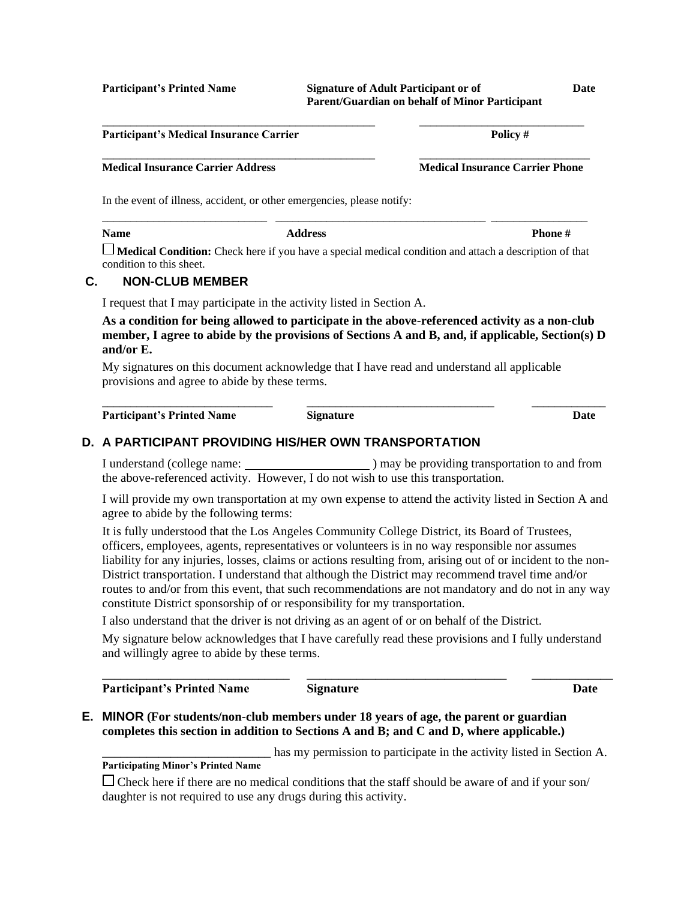**Participant's Printed Name Signature of Adult Participant or of Date Parent/Guardian on behalf of Minor Participant**

**Participant's Medical Insurance Carrier Policy #** \_\_\_\_\_\_\_\_\_\_\_\_\_\_\_\_\_\_\_\_\_\_\_\_\_\_\_\_\_\_\_\_\_\_\_\_\_\_\_\_\_\_\_\_\_\_\_\_ \_\_\_\_\_\_\_\_\_\_\_\_\_\_\_\_\_\_\_\_\_\_\_\_\_\_\_\_\_\_ **Medical Insurance Carrier Address Medical Insurance Carrier Phone** In the event of illness, accident, or other emergencies, please notify: \_\_\_\_\_\_\_\_\_\_\_\_\_\_\_\_\_\_\_\_\_\_\_\_\_\_\_\_\_ \_\_\_\_\_\_\_\_\_\_\_\_\_\_\_\_\_\_\_\_\_\_\_\_\_\_\_\_\_\_\_\_\_\_\_\_\_ \_\_\_\_\_\_\_\_\_\_\_\_\_\_\_\_\_ **Name Address Phone # Medical Condition:** Check here if you have a special medical condition and attach a description of that condition to this sheet. **C. NON-CLUB MEMBER** I request that I may participate in the activity listed in Section A. **As a condition for being allowed to participate in the above-referenced activity as a non-club member, I agree to abide by the provisions of Sections A and B, and, if applicable, Section(s) D and/or E.** My signatures on this document acknowledge that I have read and understand all applicable

\_\_\_\_\_\_\_\_\_\_\_\_\_\_\_\_\_\_\_\_\_\_\_\_\_\_\_\_\_\_\_\_\_\_\_\_\_\_\_\_\_\_\_\_\_\_\_\_ \_\_\_\_\_\_\_\_\_\_\_\_\_\_\_\_\_\_\_\_\_\_\_\_\_\_\_\_\_

provisions and agree to abide by these terms. \_\_\_\_\_\_\_\_\_\_\_\_\_\_\_\_\_\_\_\_\_\_\_\_\_\_\_\_\_\_ \_\_\_\_\_\_\_\_\_\_\_\_\_\_\_\_\_\_\_\_\_\_\_\_\_\_\_\_\_\_\_\_\_ \_\_\_\_\_\_\_\_\_\_\_\_\_

**Participant's Printed Name Signature Date**

# **D. A PARTICIPANT PROVIDING HIS/HER OWN TRANSPORTATION**

I understand (college name: ) may be providing transportation to and from the above-referenced activity. However, I do not wish to use this transportation.

I will provide my own transportation at my own expense to attend the activity listed in Section A and agree to abide by the following terms:

It is fully understood that the Los Angeles Community College District, its Board of Trustees, officers, employees, agents, representatives or volunteers is in no way responsible nor assumes liability for any injuries, losses, claims or actions resulting from, arising out of or incident to the non-District transportation. I understand that although the District may recommend travel time and/or routes to and/or from this event, that such recommendations are not mandatory and do not in any way constitute District sponsorship of or responsibility for my transportation.

I also understand that the driver is not driving as an agent of or on behalf of the District.

My signature below acknowledges that I have carefully read these provisions and I fully understand and willingly agree to abide by these terms.

**Participant's Printed Name Signature Date**

**E. MINOR (For students/non-club members under 18 years of age, the parent or guardian completes this section in addition to Sections A and B; and C and D, where applicable.)**

\_\_\_\_\_\_\_\_\_\_\_\_\_\_\_\_\_\_\_\_\_\_\_\_\_\_\_ has my permission to participate in the activity listed in Section A. **Participating Minor's Printed Name**

\_\_\_\_\_\_\_\_\_\_\_\_\_\_\_\_\_\_\_\_\_\_\_\_\_\_\_\_\_\_ \_\_\_\_\_\_\_\_\_\_\_\_\_\_\_\_\_\_\_\_\_\_\_\_\_\_\_\_\_\_\_\_ \_\_\_\_\_\_\_\_\_\_\_\_\_

 $\Box$  Check here if there are no medical conditions that the staff should be aware of and if your son/ daughter is not required to use any drugs during this activity.